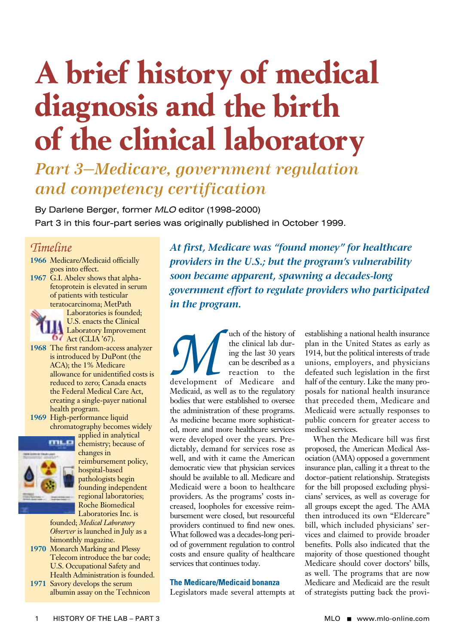# **A brief history of medical diagnosis and the birth of the clinical laboratory**

## *Part 3—Medicare, government regulation and competency certification*

By Darlene Berger, former MLO editor (1998-2000) Part 3 in this four-part series was originally published in October 1999.

### *Timeline*

- **1966** Medicare/Medicaid officially goes into effect.
- **1967** G.I. Abelev shows that alphafetoprotein is elevated in serum of patients with testicular teratocarcinoma; MetPath

Laboratories is founded; U.S. enacts the Clinical Laboratory Improvement **D** Act (CLIA '67).

- **1968** The first random-access analyzer is introduced by DuPont (the ACA); the 1% Medicare allowance for unidentified costs is reduced to zero; Canada enacts the Federal Medical Care Act, creating a single-payer national health program.
- **1969** High-performance liquid chromatography becomes widely



applied in analytical chemistry; because of changes in reimbursement policy, hospital-based pathologists begin founding independent regional laboratories; Roche Biomedical

Laboratories Inc. is founded; *Medical Laboratory Observer* is launched in July as a bimonthly magazine.

- **1970** Monarch Marking and Plessy Telecom introduce the bar code; U.S. Occupational Safety and Health Administration is founded.
- **1971** Savory develops the serum albumin assay on the Technicon

*At first, Medicare was "found money" for healthcare providers in the U.S.; but the program's vulnerability soon became apparent, spawning a decades-long government effort to regulate providers who participated in the program.*

**Market Strategy Control**<br>the clinical lab during the last 30 years<br>can be described as a<br>reaction to the<br>development of Medicare and<br>Medicaid as well as to the regulatory the clinical lab during the last 30 years can be described as a reaction to the development of Medicare and Medicaid, as well as to the regulatory bodies that were established to oversee the administration of these programs. As medicine became more sophisticated, more and more healthcare services were developed over the years. Predictably, demand for services rose as well, and with it came the American democratic view that physician services should be available to all. Medicare and Medicaid were a boon to healthcare providers. As the programs' costs increased, loopholes for excessive reimbursement were closed, but resourceful providers continued to find new ones. What followed was a decades-long period of government regulation to control costs and ensure quality of healthcare services that continues today.

#### **The Medicare/Medicaid bonanza**

Legislators made several attempts at

establishing a national health insurance plan in the United States as early as 1914, but the political interests of trade unions, employers, and physicians defeated such legislation in the first half of the century. Like the many proposals for national health insurance that preceded them, Medicare and Medicaid were actually responses to public concern for greater access to medical services.

When the Medicare bill was first proposed, the American Medical Association (AMA) opposed a government insurance plan, calling it a threat to the doctor–patient relationship. Strategists for the bill proposed excluding physicians' services, as well as coverage for all groups except the aged. The AMA then introduced its own "Eldercare" bill, which included physicians' services and claimed to provide broader benefits. Polls also indicated that the majority of those questioned thought Medicare should cover doctors' bills, as well. The programs that are now Medicare and Medicaid are the result of strategists putting back the provi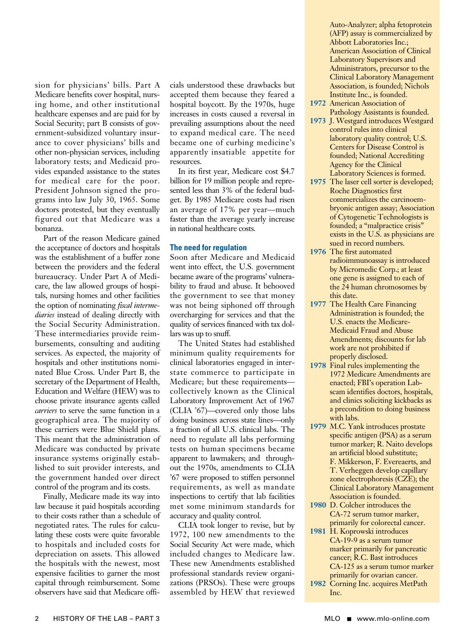sion for physicians' bills. Part A Medicare benefits cover hospital, nursing home, and other institutional healthcare expenses and are paid for by Social Security; part B consists of government-subsidized voluntary insurance to cover physicians' bills and other non-physician services, including laboratory tests; and Medicaid provides expanded assistance to the states for medical care for the poor. President Johnson signed the programs into law July 30, 1965. Some doctors protested, but they eventually figured out that Medicare was a bonanza.

Part of the reason Medicare gained the acceptance of doctors and hospitals was the establishment of a buffer zone between the providers and the federal bureaucracy. Under Part A of Medicare, the law allowed groups of hospitals, nursing homes and other facilities the option of nominating *fiscal intermediaries* instead of dealing directly with the Social Security Administration. These intermediaries provide reimbursements, consulting and auditing services. As expected, the majority of hospitals and other institutions nominated Blue Cross. Under Part B, the secretary of the Department of Health, Education and Welfare (HEW) was to choose private insurance agents called *carriers* to serve the same function in a geographical area. The majority of these carriers were Blue Shield plans. This meant that the administration of Medicare was conducted by private insurance systems originally established to suit provider interests, and the government handed over direct control of the program and its costs.

Finally, Medicare made its way into law because it paid hospitals according to their costs rather than a schedule of negotiated rates. The rules for calculating these costs were quite favorable to hospitals and included costs for depreciation on assets. This allowed the hospitals with the newest, most expensive facilities to garner the most capital through reimbursement. Some observers have said that Medicare officials understood these drawbacks but accepted them because they feared a hospital boycott. By the 1970s, huge increases in costs caused a reversal in prevailing assumptions about the need to expand medical care. The need became one of curbing medicine's apparently insatiable appetite for resources.

In its first year, Medicare cost \$4.7 billion for 19 million people and represented less than 3% of the federal budget. By 1985 Medicare costs had risen an average of 17% per year—much faster than the average yearly increase in national healthcare costs.

#### **The need for regulation**

Soon after Medicare and Medicaid went into effect, the U.S. government became aware of the programs' vulnerability to fraud and abuse. It behooved the government to see that money was not being siphoned off through overcharging for services and that the quality of services financed with tax dollars was up to snuff.

The United States had established minimum quality requirements for clinical laboratories engaged in interstate commerce to participate in Medicare; but these requirements collectively known as the Clinical Laboratory Improvement Act of 1967 (CLIA '67)—covered only those labs doing business across state lines—only a fraction of all U.S. clinical labs. The need to regulate all labs performing tests on human specimens became apparent to lawmakers; and throughout the 1970s, amendments to CLIA '67 were proposed to stiffen personnel requirements, as well as mandate inspections to certify that lab facilities met some minimum standards for accuracy and quality control.

CLIA took longer to revise, but by 1972, 100 new amendments to the Social Security Act were made, which included changes to Medicare law. These new Amendments established professional standards review organizations (PRSOs). These were groups assembled by HEW that reviewed Auto-Analyzer; alpha fetoprotein (AFP) assay is commercialized by Abbott Laboratories Inc.; American Association of Clinical Laboratory Supervisors and Administrators, precursor to the Clinical Laboratory Management Association, is founded; Nichols Institute Inc., is founded.

- **1972** American Association of Pathology Assistants is founded.
- **1973** J. Westgard introduces Westgard control rules into clinical laboratory quality control; U.S. Centers for Disease Control is founded; National Accrediting Agency for the Clinical Laboratory Sciences is formed.
- **1975** The laser cell sorter is developed; Roche Diagnostics first commercializes the carcinoembryonic antigen assay; Association of Cytogenetic Technologists is founded; a "malpractice crisis" exists in the U.S. as physicians are sued in record numbers.
- **1976** The first automated radioimmunoassay is introduced by Micromedic Corp.; at least one gene is assigned to each of the 24 human chromosomes by this date.
- **1977** The Health Care Financing Administration is founded; the U.S. enacts the Medicare-Medicaid Fraud and Abuse Amendments; discounts for lab work are not prohibited if properly disclosed.
- **1978** Final rules implementing the 1972 Medicare Amendments are enacted; FBI's operation Labscam identifies doctors, hospitals, and clinics soliciting kickbacks as a precondition to doing business with labs.
- **1979** M.C. Yank introduces prostate specific antigen (PSA) as a serum tumor marker; R. Naito develops an artificial blood substitute; F. Mikkerson, F. Evereaerts, and T. Verheggen develop capillary zone electrophoresis (CZE); the Clinical Laboratory Management Association is founded.
- **1980** D. Colcher introduces the CA-72 serum tumor marker, primarily for colorectal cancer.
- **1981** H. Koprowski introduces CA-19-9 as a serum tumor marker primarily for pancreatic cancer; R.C. Bast introduces CA-125 as a serum tumor marker primarily for ovarian cancer. **1982** Corning Inc. acquires MetPath

Inc.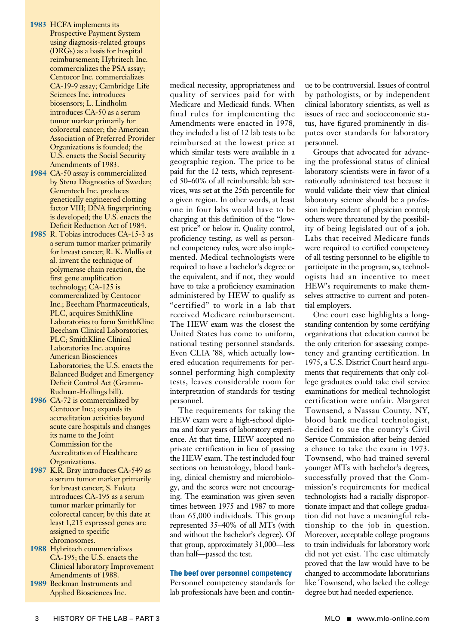- **1983** HCFA implements its Prospective Payment System using diagnosis-related groups (DRGs) as a basis for hospital reimbursement; Hybritech Inc. commercializes the PSA assay; Centocor Inc. commercializes CA-19-9 assay; Cambridge Life Sciences Inc. introduces biosensors; L. Lindholm introduces CA-50 as a serum tumor marker primarily for colorectal cancer; the American Association of Preferred Provider Organizations is founded; the U.S. enacts the Social Security Amendments of 1983.
- **1984** CA-50 assay is commercialized by Stena Diagnostics of Sweden; Genentech Inc. produces genetically engineered clotting factor VIII; DNA fingerprinting is developed; the U.S. enacts the Deficit Reduction Act of 1984.
- **1985** R. Tobias introduces CA-15-3 as a serum tumor marker primarily for breast cancer; R. K. Mullis et al. invent the technique of polymerase chain reaction, the first gene amplification technology; CA-125 is commercialized by Centocor Inc.; Beecham Pharmaceuticals, PLC, acquires SmithKline Laboratories to form SmithKline Beecham Clinical Laboratories, PLC; SmithKline Clinical Laboratories Inc. acquires American Biosciences Laboratories; the U.S. enacts the Balanced Budget and Emergency Deficit Control Act (Gramm-Rudman-Hollings bill).
- **1986** CA-72 is commercialized by Centocor Inc.; expands its accreditation activities beyond acute care hospitals and changes its name to the Joint Commission for the Accreditation of Healthcare Organizations.
- **1987** K.R. Bray introduces CA-549 as a serum tumor marker primarily for breast cancer; S. Fukuta introduces CA-195 as a serum tumor marker primarily for colorectal cancer; by this date at least 1,215 expressed genes are assigned to specific chromosomes.
- **1988** Hybritech commercializes CA-195; the U.S. enacts the Clinical laboratory Improvement Amendments of 1988.
- **1989** Beckman Instruments and Applied Biosciences Inc.

medical necessity, appropriateness and quality of services paid for with Medicare and Medicaid funds. When final rules for implementing the Amendments were enacted in 1978, they included a list of 12 lab tests to be reimbursed at the lowest price at which similar tests were available in a geographic region. The price to be paid for the 12 tests, which represented 50–60% of all reimbursable lab services, was set at the 25th percentile for a given region. In other words, at least one in four labs would have to be charging at this definition of the "lowest price" or below it. Quality control, proficiency testing, as well as personnel competency rules, were also implemented. Medical technologists were required to have a bachelor's degree or the equivalent, and if not, they would have to take a proficiency examination administered by HEW to qualify as "certified" to work in a lab that received Medicare reimbursement. The HEW exam was the closest the United States has come to uniform, national testing personnel standards. Even CLIA '88, which actually lowered education requirements for personnel performing high complexity tests, leaves considerable room for interpretation of standards for testing personnel.

The requirements for taking the HEW exam were a high-school diploma and four years of laboratory experience. At that time, HEW accepted no private certification in lieu of passing the HEW exam. The test included four sections on hematology, blood banking, clinical chemistry and microbiology, and the scores were not encouraging. The examination was given seven times between 1975 and 1987 to more than 65,000 individuals. This group represented 35–40% of all MTs (with and without the bachelor's degree). Of that group, approximately 31,000—less than half—passed the test.

#### **The beef over personnel competency**

Personnel competency standards for lab professionals have been and continue to be controversial. Issues of control by pathologists, or by independent clinical laboratory scientists, as well as issues of race and socioeconomic status, have figured prominently in disputes over standards for laboratory personnel.

Groups that advocated for advancing the professional status of clinical laboratory scientists were in favor of a nationally administered test because it would validate their view that clinical laboratory science should be a profession independent of physician control; others were threatened by the possibility of being legislated out of a job. Labs that received Medicare funds were required to certified competency of all testing personnel to be eligible to participate in the program, so, technologists had an incentive to meet HEW's requirements to make themselves attractive to current and potential employers.

One court case highlights a longstanding contention by some certifying organizations that education cannot be the only criterion for assessing competency and granting certification. In 1975, a U.S. District Court heard arguments that requirements that only college graduates could take civil service examinations for medical technologist certification were unfair. Margaret Townsend, a Nassau County, NY, blood bank medical technologist, decided to sue the county's Civil Service Commission after being denied a chance to take the exam in 1973. Townsend, who had trained several younger MTs with bachelor's degrees, successfully proved that the Commission's requirements for medical technologists had a racially disproportionate impact and that college graduation did not have a meaningful relationship to the job in question. Moreover, acceptable college programs to train individuals for laboratory work did not yet exist. The case ultimately proved that the law would have to be changed to accommodate laboratorians like Townsend, who lacked the college degree but had needed experience.